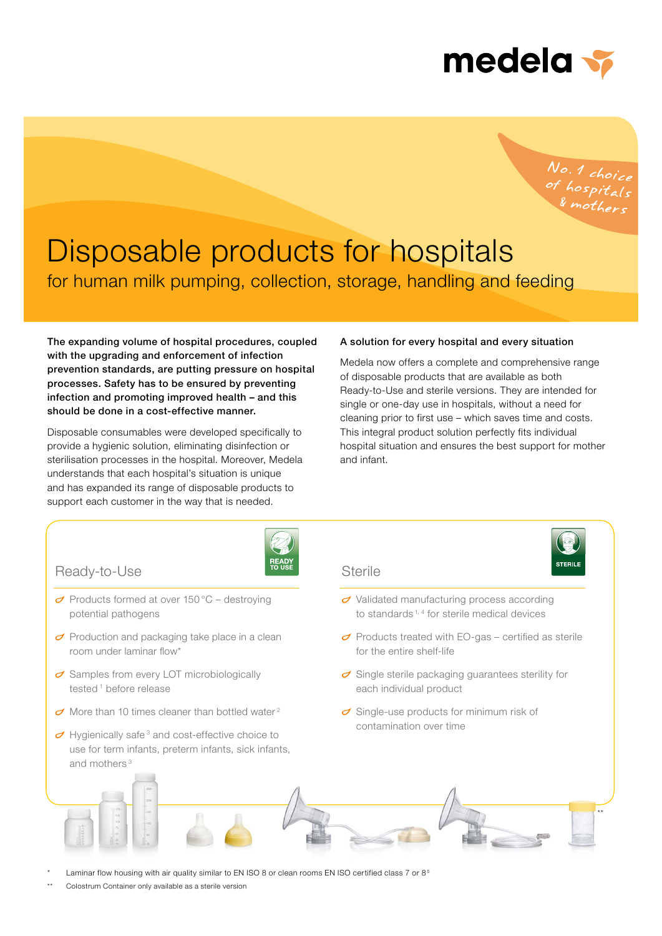

No. 1 choice<br>of hospitals<br>& mothers

# for human milk pumping, collection, storage, handling and feeding Disposable products for hospitals

The expanding volume of hospital procedures, coupled with the upgrading and enforcement of infection prevention standards, are putting pressure on hospital processes. Safety has to be ensured by preventing infection and promoting improved health – and this should be done in a cost-effective manner.

Disposable consumables were developed specifically to provide a hygienic solution, eliminating disinfection or sterilisation processes in the hospital. Moreover, Medela understands that each hospital's situation is unique and has expanded its range of disposable products to support each customer in the way that is needed.

#### A solution for every hospital and every situation

Medela now offers a complete and comprehensive range of disposable products that are available as both Ready-to-Use and sterile versions. They are intended for single or one-day use in hospitals, without a need for cleaning prior to first use – which saves time and costs. This integral product solution perfectly fits individual hospital situation and ensures the best support for mother and infant.

\*\*



Laminar flow housing with air quality similar to EN ISO 8 or clean rooms EN ISO certified class 7 or 8<sup>5</sup>

Colostrum Container only available as a sterile version